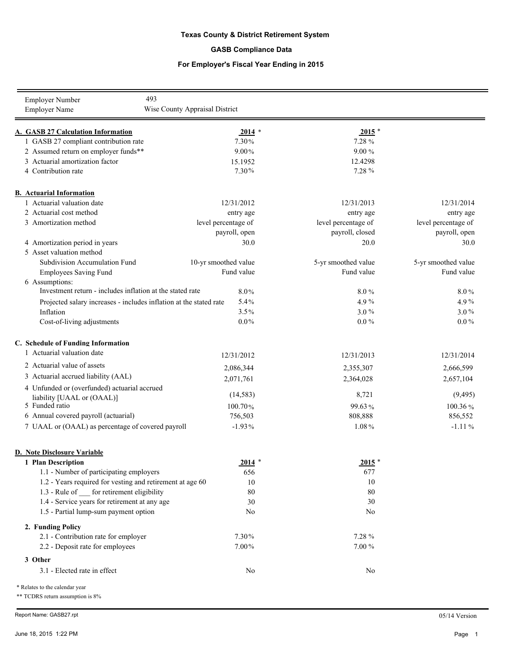## **Texas County & District Retirement System**

### **GASB Compliance Data**

### **For Employer's Fiscal Year Ending in 2015**

| 493<br>Employer Number                                             |                                |                     |                     |
|--------------------------------------------------------------------|--------------------------------|---------------------|---------------------|
| <b>Employer Name</b>                                               | Wise County Appraisal District |                     |                     |
|                                                                    |                                |                     |                     |
| A. GASB 27 Calculation Information                                 | $2014$ *                       | $2015$ *            |                     |
| 1 GASB 27 compliant contribution rate                              | 7.30%                          | 7.28 %              |                     |
| 2 Assumed return on employer funds**                               | $9.00\%$                       | 9.00%               |                     |
| 3 Actuarial amortization factor                                    | 15.1952                        | 12.4298             |                     |
| 4 Contribution rate                                                | 7.30%                          | 7.28 %              |                     |
| <b>B.</b> Actuarial Information                                    |                                |                     |                     |
| 1 Actuarial valuation date                                         | 12/31/2012                     | 12/31/2013          | 12/31/2014          |
| 2 Actuarial cost method                                            | entry age                      | entry age           | entry age           |
| 3 Amortization method                                              | level percentage of            | level percentage of | level percentage of |
|                                                                    | payroll, open                  | payroll, closed     | payroll, open       |
| 4 Amortization period in years                                     | 30.0                           | 20.0                | 30.0                |
| 5 Asset valuation method                                           |                                |                     |                     |
| Subdivision Accumulation Fund                                      | 10-yr smoothed value           | 5-yr smoothed value | 5-yr smoothed value |
| <b>Employees Saving Fund</b>                                       | Fund value                     | Fund value          | Fund value          |
| 6 Assumptions:                                                     |                                |                     |                     |
| Investment return - includes inflation at the stated rate          | $8.0\%$                        | 8.0%                | 8.0%                |
| Projected salary increases - includes inflation at the stated rate | 5.4%                           | 4.9%                | 4.9%                |
| Inflation                                                          | 3.5%                           | $3.0\%$             | $3.0\%$             |
| Cost-of-living adjustments                                         | $0.0\%$                        | $0.0\,\%$           | $0.0\,\%$           |
|                                                                    |                                |                     |                     |
| C. Schedule of Funding Information                                 |                                |                     |                     |
| 1 Actuarial valuation date                                         | 12/31/2012                     | 12/31/2013          | 12/31/2014          |
| 2 Actuarial value of assets                                        | 2,086,344                      | 2,355,307           | 2,666,599           |
| 3 Actuarial accrued liability (AAL)                                | 2,071,761                      | 2,364,028           | 2,657,104           |
| 4 Unfunded or (overfunded) actuarial accrued                       |                                |                     |                     |
| liability [UAAL or (OAAL)]                                         | (14, 583)                      | 8,721               | (9, 495)            |
| 5 Funded ratio                                                     | 100.70%                        | 99.63%              | 100.36%             |
| 6 Annual covered payroll (actuarial)                               | 756,503                        | 808,888             | 856,552             |
| 7 UAAL or (OAAL) as percentage of covered payroll                  | $-1.93%$                       | 1.08%               | $-1.11%$            |
|                                                                    |                                |                     |                     |
| <b>D. Note Disclosure Variable</b><br>1 Plan Description           | $2014$ *                       | $2015$ *            |                     |
| 1.1 - Number of participating employers                            | 656                            | 677                 |                     |
| 1.2 - Years required for vesting and retirement at age 60          | 10                             | 10                  |                     |
| 1.3 - Rule of ___ for retirement eligibility                       | 80                             | 80                  |                     |
| 1.4 - Service years for retirement at any age                      | 30                             | 30                  |                     |
| 1.5 - Partial lump-sum payment option                              | No                             | N <sub>0</sub>      |                     |
|                                                                    |                                |                     |                     |
| 2. Funding Policy                                                  |                                |                     |                     |
| 2.1 - Contribution rate for employer                               | 7.30%                          | 7.28 %              |                     |
| 2.2 - Deposit rate for employees                                   | $7.00\%$                       | $7.00\,\%$          |                     |
| 3 Other                                                            |                                |                     |                     |
| 3.1 - Elected rate in effect                                       | No                             | No                  |                     |
| * Relates to the calendar year                                     |                                |                     |                     |

\*\* TCDRS return assumption is 8%

Report Name: GASB27.rpt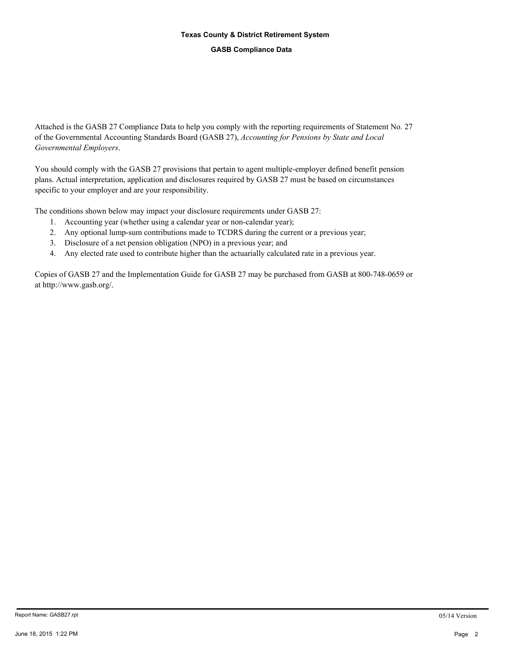# **Texas County & District Retirement System**

#### **GASB Compliance Data**

Attached is the GASB 27 Compliance Data to help you comply with the reporting requirements of Statement No. 27 of the Governmental Accounting Standards Board (GASB 27), *Accounting for Pensions by State and Local Governmental Employers*.

You should comply with the GASB 27 provisions that pertain to agent multiple-employer defined benefit pension plans. Actual interpretation, application and disclosures required by GASB 27 must be based on circumstances specific to your employer and are your responsibility.

The conditions shown below may impact your disclosure requirements under GASB 27:

- 1. Accounting year (whether using a calendar year or non-calendar year);
- 2. Any optional lump-sum contributions made to TCDRS during the current or a previous year;
- 3. Disclosure of a net pension obligation (NPO) in a previous year; and
- 4. Any elected rate used to contribute higher than the actuarially calculated rate in a previous year.

Copies of GASB 27 and the Implementation Guide for GASB 27 may be purchased from GASB at 800-748-0659 or at http://www.gasb.org/.